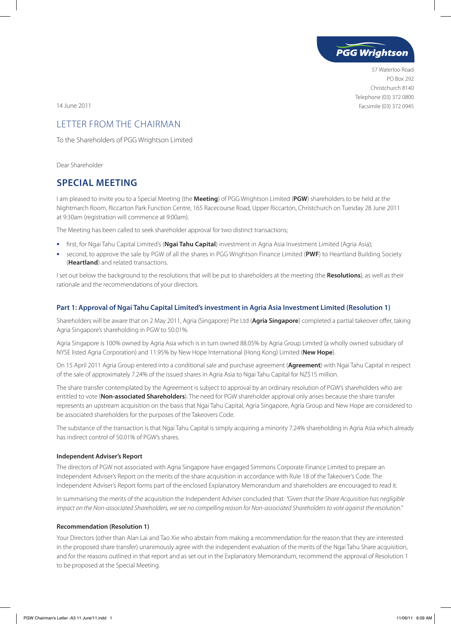

57 Waterloo Road PO Box 292 Christchurch 8140 Telephone (03) 372 0800 14 June 2011 Facsimile (03) 372 0945

# LETTER FROM THE CHAIRMAN

To the Shareholders of PGG Wrightson Limited

Dear Shareholder

## **SPECIAL MEETING**

I am pleased to invite you to a Special Meeting (the **Meeting**) of PGG Wrightson Limited (**PGW**) shareholders to be held at the Nightmarch Room, Riccarton Park Function Centre, 165 Racecourse Road, Upper Riccarton, Christchurch on Tuesday 28 June 2011 at 9:30am (registration will commence at 9:00am).

The Meeting has been called to seek shareholder approval for two distinct transactions;

- **•**  first, for Ngai Tahu Capital Limited's (**Ngai Tahu Capital**) investment in Agria Asia Investment Limited (Agria Asia);
- **•**  second, to approve the sale by PGW of all the shares in PGG Wrightson Finance Limited (**PWF**) to Heartland Building Society (**Heartland**) and related transactions.

I set out below the background to the resolutions that will be put to shareholders at the meeting (the **Resolutions**), as well as their rationale and the recommendations of your directors.

### **Part 1: Approval of Ngai Tahu Capital Limited's investment in Agria Asia Investment Limited (Resolution 1)**

Shareholders will be aware that on 2 May 2011, Agria (Singapore) Pte Ltd (**Agria Singapore**) completed a partial takeover offer, taking Agria Singapore's shareholding in PGW to 50.01%.

Agria Singapore is 100% owned by Agria Asia which is in turn owned 88.05% by Agria Group Limited (a wholly owned subsidiary of NYSE listed Agria Corporation) and 11.95% by New Hope International (Hong Kong) Limited (**New Hope**).

On 15 April 2011 Agria Group entered into a conditional sale and purchase agreement (**Agreement**) with Ngai Tahu Capital in respect of the sale of approximately 7.24% of the issued shares in Agria Asia to Ngai Tahu Capital for NZ\$15 million.

The share transfer contemplated by the Agreement is subject to approval by an ordinary resolution of PGW's shareholders who are entitled to vote (**Non-associated Shareholders**). The need for PGW shareholder approval only arises because the share transfer represents an upstream acquisition on the basis that Ngai Tahu Capital, Agria Singapore, Agria Group and New Hope are considered to be associated shareholders for the purposes of the Takeovers Code.

The substance of the transaction is that Ngai Tahu Capital is simply acquiring a minority 7.24% shareholding in Agria Asia which already has indirect control of 50.01% of PGW's shares.

### **Independent Adviser's Report**

The directors of PGW not associated with Agria Singapore have engaged Simmons Corporate Finance Limited to prepare an Independent Adviser's Report on the merits of the share acquisition in accordance with Rule 18 of the Takeover's Code. The Independent Adviser's Report forms part of the enclosed Explanatory Memorandum and shareholders are encouraged to read it.

In summarising the merits of the acquisition the Independent Adviser concluded that: *"Given that the Share Acquisition has negligible impact on the Non-associated Shareholders, we see no compelling reason for Non-associated Shareholders to vote against the resolution."*

### **Recommendation (Resolution 1)**

Your Directors (other than Alan Lai and Tao Xie who abstain from making a recommendation for the reason that they are interested in the proposed share transfer) unanimously agree with the independent evaluation of the merits of the Ngai Tahu Share acquisition, and for the reasons outlined in that report and as set out in the Explanatory Memorandum, recommend the approval of Resolution 1 to be proposed at the Special Meeting.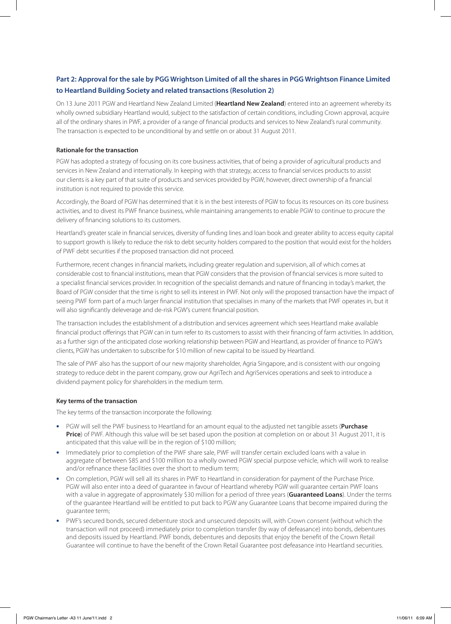### **Part 2: Approval for the sale by PGG Wrightson Limited of all the shares in PGG Wrightson Finance Limited to Heartland Building Society and related transactions (Resolution 2)**

On 13 June 2011 PGW and Heartland New Zealand Limited (**Heartland New Zealand**) entered into an agreement whereby its wholly owned subsidiary Heartland would, subject to the satisfaction of certain conditions, including Crown approval, acquire all of the ordinary shares in PWF, a provider of a range of financial products and services to New Zealand's rural community. The transaction is expected to be unconditional by and settle on or about 31 August 2011.

### **Rationale for the transaction**

PGW has adopted a strategy of focusing on its core business activities, that of being a provider of agricultural products and services in New Zealand and internationally. In keeping with that strategy, access to financial services products to assist our clients is a key part of that suite of products and services provided by PGW, however, direct ownership of a financial institution is not required to provide this service.

Accordingly, the Board of PGW has determined that it is in the best interests of PGW to focus its resources on its core business activities, and to divest its PWF finance business, while maintaining arrangements to enable PGW to continue to procure the delivery of financing solutions to its customers.

Heartland's greater scale in financial services, diversity of funding lines and loan book and greater ability to access equity capital to support growth is likely to reduce the risk to debt security holders compared to the position that would exist for the holders of PWF debt securities if the proposed transaction did not proceed.

Furthermore, recent changes in financial markets, including greater regulation and supervision, all of which comes at considerable cost to financial institutions, mean that PGW considers that the provision of financial services is more suited to a specialist financial services provider. In recognition of the specialist demands and nature of financing in today's market, the Board of PGW consider that the time is right to sell its interest in PWF. Not only will the proposed transaction have the impact of seeing PWF form part of a much larger financial institution that specialises in many of the markets that PWF operates in, but it will also significantly deleverage and de-risk PGW's current financial position.

The transaction includes the establishment of a distribution and services agreement which sees Heartland make available financial product offerings that PGW can in turn refer to its customers to assist with their financing of farm activities. In addition, as a further sign of the anticipated close working relationship between PGW and Heartland, as provider of finance to PGW's clients, PGW has undertaken to subscribe for \$10 million of new capital to be issued by Heartland.

The sale of PWF also has the support of our new majority shareholder, Agria Singapore, and is consistent with our ongoing strategy to reduce debt in the parent company, grow our AgriTech and AgriServices operations and seek to introduce a dividend payment policy for shareholders in the medium term.

### **Key terms of the transaction**

The key terms of the transaction incorporate the following:

- **•**  PGW will sell the PWF business to Heartland for an amount equal to the adjusted net tangible assets (**Purchase Price**) of PWF. Although this value will be set based upon the position at completion on or about 31 August 2011, it is anticipated that this value will be in the region of \$100 million;
- Immediately prior to completion of the PWF share sale, PWF will transfer certain excluded loans with a value in aggregate of between \$85 and \$100 million to a wholly owned PGW special purpose vehicle, which will work to realise and/or refinance these facilities over the short to medium term;
- On completion, PGW will sell all its shares in PWF to Heartland in consideration for payment of the Purchase Price. PGW will also enter into a deed of guarantee in favour of Heartland whereby PGW will guarantee certain PWF loans with a value in aggregate of approximately \$30 million for a period of three years (**Guaranteed Loans**). Under the terms of the guarantee Heartland will be entitled to put back to PGW any Guarantee Loans that become impaired during the guarantee term;
- PWF's secured bonds, secured debenture stock and unsecured deposits will, with Crown consent (without which the transaction will not proceed) immediately prior to completion transfer (by way of defeasance) into bonds, debentures and deposits issued by Heartland. PWF bonds, debentures and deposits that enjoy the benefit of the Crown Retail Guarantee will continue to have the benefit of the Crown Retail Guarantee post defeasance into Heartland securities.